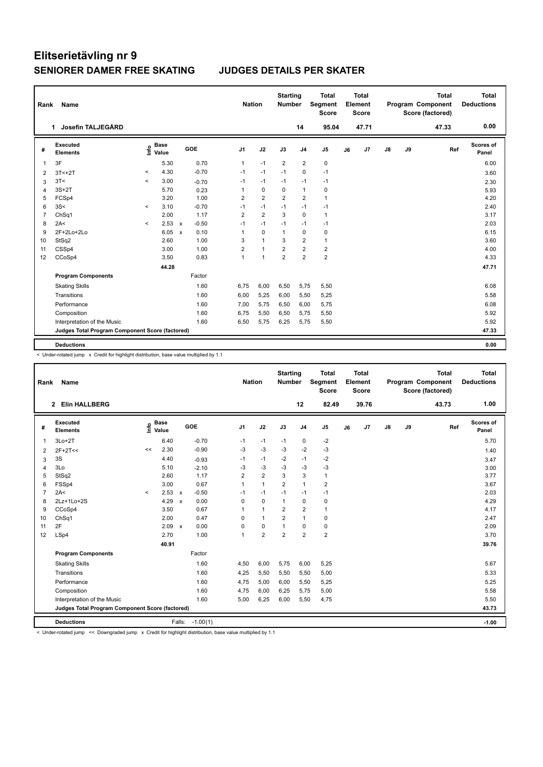| Rank           | Name                                            |         |                      |                           |         | <b>Nation</b>           |                | <b>Starting</b><br>Number |                | <b>Total</b><br>Segment<br><b>Score</b> |    | <b>Total</b><br>Element<br><b>Score</b> |    |    | <b>Total</b><br>Program Component<br>Score (factored) | <b>Total</b><br><b>Deductions</b> |
|----------------|-------------------------------------------------|---------|----------------------|---------------------------|---------|-------------------------|----------------|---------------------------|----------------|-----------------------------------------|----|-----------------------------------------|----|----|-------------------------------------------------------|-----------------------------------|
|                | Josefin TALJEGÅRD<br>1                          |         |                      |                           |         |                         |                |                           | 14             | 95.04                                   |    | 47.71                                   |    |    | 47.33                                                 | 0.00                              |
| #              | Executed<br><b>Elements</b>                     | lnfo    | <b>Base</b><br>Value | GOE                       |         | J <sub>1</sub>          | J2             | J3                        | J <sub>4</sub> | J <sub>5</sub>                          | J6 | J7                                      | J8 | J9 | Ref                                                   | Scores of<br>Panel                |
| 1              | 3F                                              |         | 5.30                 |                           | 0.70    | $\mathbf{1}$            | $-1$           | $\overline{2}$            | $\overline{2}$ | 0                                       |    |                                         |    |    |                                                       | 6.00                              |
| 2              | $3T < +2T$                                      | $\,<$   | 4.30                 |                           | $-0.70$ | $-1$                    | $-1$           | $-1$                      | $\mathbf 0$    | $-1$                                    |    |                                         |    |    |                                                       | 3.60                              |
| 3              | 3T<                                             | $\,<\,$ | 3.00                 |                           | $-0.70$ | $-1$                    | $-1$           | $-1$                      | $-1$           | $-1$                                    |    |                                         |    |    |                                                       | 2.30                              |
| $\overline{4}$ | $3S+2T$                                         |         | 5.70                 |                           | 0.23    | $\mathbf{1}$            | $\mathbf 0$    | $\mathbf 0$               | $\mathbf{1}$   | $\pmb{0}$                               |    |                                         |    |    |                                                       | 5.93                              |
| 5              | FCSp4                                           |         | 3.20                 |                           | 1.00    | $\overline{\mathbf{c}}$ | $\overline{2}$ | $\overline{2}$            | $\overline{2}$ | $\mathbf{1}$                            |    |                                         |    |    |                                                       | 4.20                              |
| 6              | 3S<                                             | $\prec$ | 3.10                 |                           | $-0.70$ | $-1$                    | $-1$           | $-1$                      | $-1$           | $-1$                                    |    |                                         |    |    |                                                       | 2.40                              |
| $\overline{7}$ | ChSq1                                           |         | 2.00                 |                           | 1.17    | $\overline{\mathbf{c}}$ | $\overline{2}$ | 3                         | $\mathbf 0$    | $\mathbf{1}$                            |    |                                         |    |    |                                                       | 3.17                              |
| 8              | 2A<                                             | $\prec$ | 2.53                 | $\boldsymbol{\mathsf{x}}$ | $-0.50$ | $-1$                    | $-1$           | $-1$                      | $-1$           | $-1$                                    |    |                                         |    |    |                                                       | 2.03                              |
| 9              | 2F+2Lo+2Lo                                      |         | 6.05                 | $\boldsymbol{\mathsf{x}}$ | 0.10    | 1                       | $\Omega$       | $\mathbf{1}$              | $\mathbf 0$    | $\pmb{0}$                               |    |                                         |    |    |                                                       | 6.15                              |
| 10             | StSq2                                           |         | 2.60                 |                           | 1.00    | 3                       | $\mathbf{1}$   | 3                         | $\overline{2}$ | $\mathbf{1}$                            |    |                                         |    |    |                                                       | 3.60                              |
| 11             | CSSp4                                           |         | 3.00                 |                           | 1.00    | $\overline{\mathbf{c}}$ | $\mathbf{1}$   | $\overline{2}$            | $\overline{2}$ | $\overline{\mathbf{c}}$                 |    |                                         |    |    |                                                       | 4.00                              |
| 12             | CCoSp4                                          |         | 3.50                 |                           | 0.83    | 1                       | $\overline{1}$ | $\overline{2}$            | $\overline{2}$ | $\overline{2}$                          |    |                                         |    |    |                                                       | 4.33                              |
|                |                                                 |         | 44.28                |                           |         |                         |                |                           |                |                                         |    |                                         |    |    |                                                       | 47.71                             |
|                | <b>Program Components</b>                       |         |                      |                           | Factor  |                         |                |                           |                |                                         |    |                                         |    |    |                                                       |                                   |
|                | <b>Skating Skills</b>                           |         |                      |                           | 1.60    | 6,75                    | 6,00           | 6,50                      | 5,75           | 5,50                                    |    |                                         |    |    |                                                       | 6.08                              |
|                | Transitions                                     |         |                      |                           | 1.60    | 6,00                    | 5,25           | 6,00                      | 5,50           | 5,25                                    |    |                                         |    |    |                                                       | 5.58                              |
|                | Performance                                     |         |                      |                           | 1.60    | 7,00                    | 5,75           | 6,50                      | 6,00           | 5,75                                    |    |                                         |    |    |                                                       | 6.08                              |
|                | Composition                                     |         |                      |                           | 1.60    | 6.75                    | 5,50           | 6,50                      | 5,75           | 5,50                                    |    |                                         |    |    |                                                       | 5.92                              |
|                | Interpretation of the Music                     |         |                      |                           | 1.60    | 6,50                    | 5,75           | 6,25                      | 5,75           | 5,50                                    |    |                                         |    |    |                                                       | 5.92                              |
|                | Judges Total Program Component Score (factored) |         |                      |                           |         |                         |                |                           |                |                                         |    |                                         |    |    |                                                       | 47.33                             |
|                | <b>Deductions</b>                               |         |                      |                           |         |                         |                |                           |                |                                         |    |                                         |    |    |                                                       | 0.00                              |

< Under-rotated jump x Credit for highlight distribution, base value multiplied by 1.1

| Rank           | Name                                            |         |                                    |                 |         |                | <b>Nation</b>  | <b>Starting</b><br><b>Number</b> |                | <b>Total</b><br>Segment<br><b>Score</b> |    | <b>Total</b><br>Element<br><b>Score</b> |    |    | <b>Total</b><br><b>Program Component</b><br>Score (factored) | <b>Total</b><br><b>Deductions</b> |
|----------------|-------------------------------------------------|---------|------------------------------------|-----------------|---------|----------------|----------------|----------------------------------|----------------|-----------------------------------------|----|-----------------------------------------|----|----|--------------------------------------------------------------|-----------------------------------|
|                | <b>Elin HALLBERG</b><br>$\mathbf{2}$            |         |                                    |                 |         |                |                |                                  | 12             | 82.49                                   |    | 39.76                                   |    |    | 43.73                                                        | 1.00                              |
| #              | Executed<br><b>Elements</b>                     |         | <b>Base</b><br>$\frac{6}{5}$ Value | GOE             |         | J <sub>1</sub> | J2             | J3                               | J <sub>4</sub> | J <sub>5</sub>                          | J6 | J7                                      | J8 | J9 | Ref                                                          | Scores of<br>Panel                |
| -1             | $3Lo+2T$                                        |         | 6.40                               |                 | $-0.70$ | $-1$           | $-1$           | $-1$                             | 0              | -2                                      |    |                                         |    |    |                                                              | 5.70                              |
| $\overline{2}$ | $2F+2T<<$                                       | <<      | 2.30                               |                 | $-0.90$ | -3             | $-3$           | -3                               | $-2$           | $-3$                                    |    |                                         |    |    |                                                              | 1.40                              |
| 3              | 3S                                              |         | 4.40                               |                 | $-0.93$ | $-1$           | $-1$           | $-2$                             | $-1$           | $-2$                                    |    |                                         |    |    |                                                              | 3.47                              |
| $\overline{4}$ | 3Lo                                             |         | 5.10                               |                 | $-2.10$ | -3             | $-3$           | $-3$                             | -3             | $-3$                                    |    |                                         |    |    |                                                              | 3.00                              |
| 5              | StSq2                                           |         | 2.60                               |                 | 1.17    | 2              | $\overline{2}$ | 3                                | 3              | $\mathbf{1}$                            |    |                                         |    |    |                                                              | 3.77                              |
| 6              | FSSp4                                           |         | 3.00                               |                 | 0.67    | $\mathbf{1}$   | $\mathbf{1}$   | $\overline{2}$                   | $\mathbf{1}$   | $\overline{2}$                          |    |                                         |    |    |                                                              | 3.67                              |
| $\overline{7}$ | 2A<                                             | $\prec$ | 2.53                               | $\mathsf{x}$    | $-0.50$ | $-1$           | $-1$           | $-1$                             | $-1$           | $-1$                                    |    |                                         |    |    |                                                              | 2.03                              |
| 8              | 2Lz+1Lo+2S                                      |         | 4.29                               | $\mathsf{x}$    | 0.00    | 0              | $\mathbf 0$    | $\overline{1}$                   | $\pmb{0}$      | 0                                       |    |                                         |    |    |                                                              | 4.29                              |
| 9              | CCoSp4                                          |         | 3.50                               |                 | 0.67    | 1              | $\overline{1}$ | $\overline{\mathbf{c}}$          | $\overline{2}$ | $\mathbf{1}$                            |    |                                         |    |    |                                                              | 4.17                              |
| 10             | ChSq1                                           |         | 2.00                               |                 | 0.47    | 0              | $\overline{1}$ | $\overline{2}$                   | $\mathbf{1}$   | $\pmb{0}$                               |    |                                         |    |    |                                                              | 2.47                              |
| 11             | 2F                                              |         | 2.09                               | $\mathsf{x}$    | 0.00    | 0              | 0              | 1                                | 0              | $\pmb{0}$                               |    |                                         |    |    |                                                              | 2.09                              |
| 12             | LSp4                                            |         | 2.70                               |                 | 1.00    | 1              | $\overline{2}$ | $\overline{2}$                   | $\overline{2}$ | $\overline{2}$                          |    |                                         |    |    |                                                              | 3.70                              |
|                |                                                 |         | 40.91                              |                 |         |                |                |                                  |                |                                         |    |                                         |    |    |                                                              | 39.76                             |
|                | <b>Program Components</b>                       |         |                                    |                 | Factor  |                |                |                                  |                |                                         |    |                                         |    |    |                                                              |                                   |
|                | <b>Skating Skills</b>                           |         |                                    |                 | 1.60    | 4,50           | 6,00           | 5,75                             | 6,00           | 5,25                                    |    |                                         |    |    |                                                              | 5.67                              |
|                | Transitions                                     |         |                                    |                 | 1.60    | 4,25           | 5,50           | 5,50                             | 5,50           | 5,00                                    |    |                                         |    |    |                                                              | 5.33                              |
|                | Performance                                     |         |                                    |                 | 1.60    | 4,75           | 5,00           | 6,00                             | 5,50           | 5,25                                    |    |                                         |    |    |                                                              | 5.25                              |
|                | Composition                                     |         |                                    |                 | 1.60    | 4,75           | 6,00           | 6,25                             | 5,75           | 5,00                                    |    |                                         |    |    |                                                              | 5.58                              |
|                | Interpretation of the Music                     |         |                                    |                 | 1.60    | 5,00           | 6,25           | 6,00                             | 5,50           | 4,75                                    |    |                                         |    |    |                                                              | 5.50                              |
|                | Judges Total Program Component Score (factored) |         |                                    |                 |         |                |                |                                  |                |                                         |    |                                         |    |    |                                                              | 43.73                             |
|                | <b>Deductions</b>                               |         |                                    | Falls: -1.00(1) |         |                |                |                                  |                |                                         |    |                                         |    |    |                                                              | $-1.00$                           |

< Under-rotated jump << Downgraded jump x Credit for highlight distribution, base value multiplied by 1.1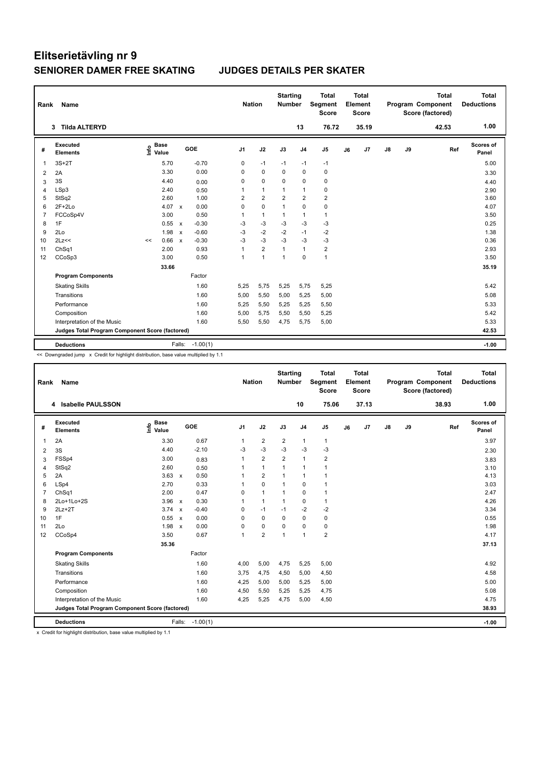| Rank           | Name                                            |                                  |                 |         | <b>Nation</b>  |                | <b>Starting</b><br>Number |                | <b>Total</b><br>Segment<br><b>Score</b> |    | <b>Total</b><br>Element<br><b>Score</b> |    |    | <b>Total</b><br>Program Component<br>Score (factored) | <b>Total</b><br><b>Deductions</b> |
|----------------|-------------------------------------------------|----------------------------------|-----------------|---------|----------------|----------------|---------------------------|----------------|-----------------------------------------|----|-----------------------------------------|----|----|-------------------------------------------------------|-----------------------------------|
|                | <b>Tilda ALTERYD</b><br>3                       |                                  |                 |         |                |                |                           | 13             | 76.72                                   |    | 35.19                                   |    |    | 42.53                                                 | 1.00                              |
| #              | <b>Executed</b><br><b>Elements</b>              | <b>Base</b><br>e Base<br>⊆ Value | GOE             |         | J <sub>1</sub> | J2             | J3                        | J <sub>4</sub> | J <sub>5</sub>                          | J6 | J7                                      | J8 | J9 | Ref                                                   | <b>Scores of</b><br>Panel         |
| 1              | $3S+2T$                                         | 5.70                             |                 | $-0.70$ | 0              | $-1$           | $-1$                      | $-1$           | $-1$                                    |    |                                         |    |    |                                                       | 5.00                              |
| 2              | 2A                                              | 3.30                             |                 | 0.00    | 0              | $\mathbf 0$    | $\mathbf 0$               | $\mathbf 0$    | $\mathbf 0$                             |    |                                         |    |    |                                                       | 3.30                              |
| 3              | 3S                                              | 4.40                             |                 | 0.00    | 0              | $\mathbf 0$    | 0                         | $\mathbf 0$    | 0                                       |    |                                         |    |    |                                                       | 4.40                              |
| 4              | LSp3                                            | 2.40                             |                 | 0.50    | 1              | $\mathbf{1}$   | 1                         | $\mathbf{1}$   | $\pmb{0}$                               |    |                                         |    |    |                                                       | 2.90                              |
| 5              | StSq2                                           | 2.60                             |                 | 1.00    | 2              | $\overline{2}$ | $\overline{2}$            | $\overline{2}$ | $\overline{2}$                          |    |                                         |    |    |                                                       | 3.60                              |
| 6              | $2F+2Lo$                                        | 4.07                             | $\mathsf{x}$    | 0.00    | 0              | $\mathbf 0$    | $\mathbf{1}$              | $\mathbf 0$    | 0                                       |    |                                         |    |    |                                                       | 4.07                              |
| $\overline{7}$ | FCCoSp4V                                        | 3.00                             |                 | 0.50    | 1              | $\mathbf{1}$   | 1                         | $\mathbf{1}$   | $\mathbf{1}$                            |    |                                         |    |    |                                                       | 3.50                              |
| 8              | 1F                                              | 0.55                             | $\mathsf{x}$    | $-0.30$ | -3             | $-3$           | -3                        | $-3$           | $-3$                                    |    |                                         |    |    |                                                       | 0.25                              |
| 9              | 2Lo                                             | 1.98                             | $\mathbf{x}$    | $-0.60$ | $-3$           | $-2$           | $-2$                      | $-1$           | $-2$                                    |    |                                         |    |    |                                                       | 1.38                              |
| 10             | 2Lz<<                                           | 0.66<br><<                       | $\mathsf{x}$    | $-0.30$ | $-3$           | $-3$           | $-3$                      | $-3$           | $-3$                                    |    |                                         |    |    |                                                       | 0.36                              |
| 11             | Ch <sub>Sq1</sub>                               | 2.00                             |                 | 0.93    | $\mathbf{1}$   | $\overline{2}$ | $\mathbf{1}$              | $\mathbf{1}$   | $\overline{\mathbf{c}}$                 |    |                                         |    |    |                                                       | 2.93                              |
| 12             | CCoSp3                                          | 3.00                             |                 | 0.50    | $\mathbf{1}$   | $\overline{1}$ | $\mathbf{1}$              | $\Omega$       | $\mathbf{1}$                            |    |                                         |    |    |                                                       | 3.50                              |
|                |                                                 | 33.66                            |                 |         |                |                |                           |                |                                         |    |                                         |    |    |                                                       | 35.19                             |
|                | <b>Program Components</b>                       |                                  |                 | Factor  |                |                |                           |                |                                         |    |                                         |    |    |                                                       |                                   |
|                | <b>Skating Skills</b>                           |                                  |                 | 1.60    | 5,25           | 5,75           | 5,25                      | 5,75           | 5,25                                    |    |                                         |    |    |                                                       | 5.42                              |
|                | Transitions                                     |                                  |                 | 1.60    | 5,00           | 5,50           | 5,00                      | 5,25           | 5,00                                    |    |                                         |    |    |                                                       | 5.08                              |
|                | Performance                                     |                                  |                 | 1.60    | 5,25           | 5,50           | 5,25                      | 5,25           | 5,50                                    |    |                                         |    |    |                                                       | 5.33                              |
|                | Composition                                     |                                  |                 | 1.60    | 5,00           | 5,75           | 5,50                      | 5,50           | 5,25                                    |    |                                         |    |    |                                                       | 5.42                              |
|                | Interpretation of the Music                     |                                  |                 | 1.60    | 5,50           | 5,50           | 4,75                      | 5,75           | 5,00                                    |    |                                         |    |    |                                                       | 5.33                              |
|                | Judges Total Program Component Score (factored) |                                  |                 |         |                |                |                           |                |                                         |    |                                         |    |    |                                                       | 42.53                             |
|                | <b>Deductions</b>                               |                                  | Falls: -1.00(1) |         |                |                |                           |                |                                         |    |                                         |    |    |                                                       | $-1.00$                           |

<< Downgraded jump x Credit for highlight distribution, base value multiplied by 1.1

| Rank           | Name                                            |                              |                      |                | <b>Nation</b>  | <b>Starting</b><br><b>Number</b> |                | <b>Total</b><br>Segment<br><b>Score</b> |    | <b>Total</b><br>Element<br><b>Score</b> |    |    | <b>Total</b><br>Program Component<br>Score (factored) | <b>Total</b><br><b>Deductions</b> |
|----------------|-------------------------------------------------|------------------------------|----------------------|----------------|----------------|----------------------------------|----------------|-----------------------------------------|----|-----------------------------------------|----|----|-------------------------------------------------------|-----------------------------------|
|                | 4 Isabelle PAULSSON                             |                              |                      |                |                |                                  | 10             | 75.06                                   |    | 37.13                                   |    |    | 38.93                                                 | 1.00                              |
| #              | Executed<br><b>Elements</b>                     | <b>Base</b><br>lnfo<br>Value | GOE                  | J <sub>1</sub> | J2             | J3                               | J <sub>4</sub> | J <sub>5</sub>                          | J6 | J7                                      | J8 | J9 | Ref                                                   | <b>Scores of</b><br>Panel         |
| 1              | 2A                                              | 3.30                         | 0.67                 | 1              | $\overline{2}$ | 2                                | $\mathbf{1}$   | $\mathbf{1}$                            |    |                                         |    |    |                                                       | 3.97                              |
| 2              | 3S                                              | 4.40                         | $-2.10$              | -3             | $-3$           | $-3$                             | -3             | $-3$                                    |    |                                         |    |    |                                                       | 2.30                              |
| 3              | FSSp4                                           | 3.00                         | 0.83                 | $\mathbf{1}$   | $\overline{2}$ | $\overline{2}$                   | $\mathbf{1}$   | $\overline{2}$                          |    |                                         |    |    |                                                       | 3.83                              |
| 4              | StSq2                                           | 2.60                         | 0.50                 |                | $\mathbf{1}$   | 1                                | $\overline{1}$ | 1                                       |    |                                         |    |    |                                                       | 3.10                              |
| 5              | 2A                                              | $3.63 \times$                | 0.50                 |                | $\overline{2}$ | 1                                | $\overline{1}$ | 1                                       |    |                                         |    |    |                                                       | 4.13                              |
| 6              | LSp4                                            | 2.70                         | 0.33                 | 1              | $\mathbf 0$    | 1                                | $\pmb{0}$      | $\mathbf{1}$                            |    |                                         |    |    |                                                       | 3.03                              |
| $\overline{7}$ | ChSq1                                           | 2.00                         | 0.47                 | 0              | $\mathbf{1}$   | 1                                | $\mathbf 0$    | $\mathbf{1}$                            |    |                                         |    |    |                                                       | 2.47                              |
| 8              | 2Lo+1Lo+2S                                      | $3.96 \times$                | 0.30                 | 1              | $\mathbf{1}$   | $\mathbf{1}$                     | $\mathbf 0$    | $\mathbf{1}$                            |    |                                         |    |    |                                                       | 4.26                              |
| 9              | $2Lz+2T$                                        | $3.74 \times$                | $-0.40$              | 0              | $-1$           | $-1$                             | $-2$           | $-2$                                    |    |                                         |    |    |                                                       | 3.34                              |
| 10             | 1F                                              | 0.55 x                       | 0.00                 | 0              | $\Omega$       | $\Omega$                         | $\mathbf 0$    | $\pmb{0}$                               |    |                                         |    |    |                                                       | 0.55                              |
| 11             | 2Lo                                             | 1.98                         | 0.00<br>$\mathbf{x}$ | 0              | $\mathbf 0$    | 0                                | 0              | $\pmb{0}$                               |    |                                         |    |    |                                                       | 1.98                              |
| 12             | CCoSp4                                          | 3.50                         | 0.67                 | 1              | $\overline{2}$ | 1                                | $\overline{1}$ | $\overline{2}$                          |    |                                         |    |    |                                                       | 4.17                              |
|                |                                                 | 35.36                        |                      |                |                |                                  |                |                                         |    |                                         |    |    |                                                       | 37.13                             |
|                | <b>Program Components</b>                       |                              | Factor               |                |                |                                  |                |                                         |    |                                         |    |    |                                                       |                                   |
|                | <b>Skating Skills</b>                           |                              | 1.60                 | 4,00           | 5,00           | 4,75                             | 5,25           | 5,00                                    |    |                                         |    |    |                                                       | 4.92                              |
|                | Transitions                                     |                              | 1.60                 | 3.75           | 4,75           | 4,50                             | 5,00           | 4,50                                    |    |                                         |    |    |                                                       | 4.58                              |
|                | Performance                                     |                              | 1.60                 | 4,25           | 5,00           | 5,00                             | 5,25           | 5,00                                    |    |                                         |    |    |                                                       | 5.00                              |
|                | Composition                                     |                              | 1.60                 | 4,50           | 5,50           | 5,25                             | 5,25           | 4,75                                    |    |                                         |    |    |                                                       | 5.08                              |
|                | Interpretation of the Music                     |                              | 1.60                 | 4,25           | 5,25           | 4,75                             | 5,00           | 4,50                                    |    |                                         |    |    |                                                       | 4.75                              |
|                | Judges Total Program Component Score (factored) |                              |                      |                |                |                                  |                |                                         |    |                                         |    |    |                                                       | 38.93                             |
|                | <b>Deductions</b>                               |                              | Falls:<br>$-1.00(1)$ |                |                |                                  |                |                                         |    |                                         |    |    |                                                       | $-1.00$                           |

x Credit for highlight distribution, base value multiplied by 1.1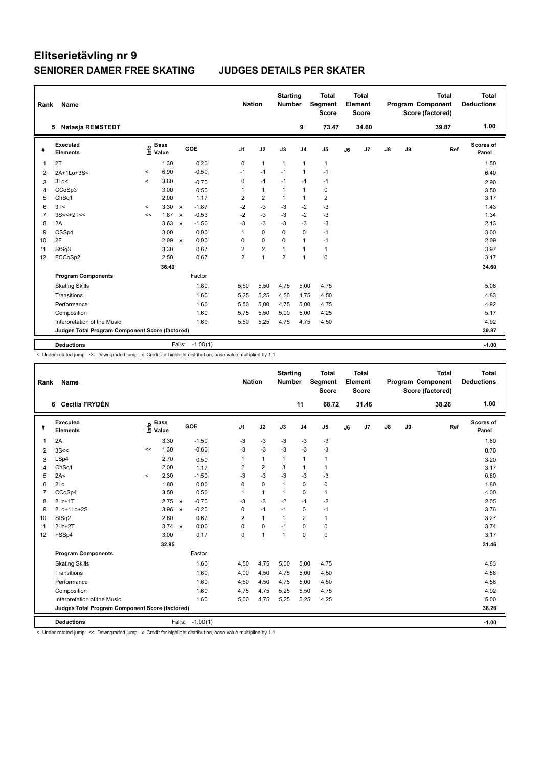| Name                        |                                                 |       |                                  |                                                                                            |                             |                |                       |                | <b>Total</b><br><b>Score</b>     |                                         | <b>Total</b> |                         |    | <b>Total</b> | <b>Total</b><br><b>Deductions</b>                   |
|-----------------------------|-------------------------------------------------|-------|----------------------------------|--------------------------------------------------------------------------------------------|-----------------------------|----------------|-----------------------|----------------|----------------------------------|-----------------------------------------|--------------|-------------------------|----|--------------|-----------------------------------------------------|
|                             |                                                 |       |                                  |                                                                                            |                             |                |                       | 9              | 73.47                            |                                         | 34.60        |                         |    | 39.87        | 1.00                                                |
| Executed<br><b>Elements</b> |                                                 |       |                                  |                                                                                            | J <sub>1</sub>              | J2             | J3                    | J <sub>4</sub> | J <sub>5</sub>                   | J6                                      | J7           | $\mathsf{J}8$           | J9 |              | Scores of<br>Panel                                  |
| 2T                          |                                                 | 1.30  |                                  | 0.20                                                                                       | $\pmb{0}$                   | $\mathbf{1}$   | $\mathbf{1}$          | 1              | $\mathbf{1}$                     |                                         |              |                         |    |              | 1.50                                                |
| 2A+1Lo+3S<                  | $\,<\,$                                         | 6.90  |                                  | $-0.50$                                                                                    | $-1$                        | $-1$           | $-1$                  | $\mathbf{1}$   | $-1$                             |                                         |              |                         |    |              | 6.40                                                |
| 3Lo<                        | $\prec$                                         | 3.60  |                                  | $-0.70$                                                                                    | 0                           | $-1$           | $-1$                  | $-1$           | $-1$                             |                                         |              |                         |    |              | 2.90                                                |
| CCoSp3                      |                                                 | 3.00  |                                  | 0.50                                                                                       | 1                           | $\mathbf{1}$   | $\mathbf{1}$          | 1              | 0                                |                                         |              |                         |    |              | 3.50                                                |
| ChSq1                       |                                                 | 2.00  |                                  | 1.17                                                                                       | 2                           | $\overline{2}$ | 1                     | 1              | $\overline{\mathbf{c}}$          |                                         |              |                         |    |              | 3.17                                                |
| 3T<                         | $\hat{}$                                        |       |                                  | $-1.87$                                                                                    | $-2$                        |                | $-3$                  | $-2$           | $-3$                             |                                         |              |                         |    |              | 1.43                                                |
| $3S<<+2T<<$                 | <<                                              |       | $\mathsf{x}$                     | $-0.53$                                                                                    | $-2$                        | $-3$           | $-3$                  | $-2$           | $-3$                             |                                         |              |                         |    |              | 1.34                                                |
| 2A                          |                                                 | 3.63  | $\mathsf{x}$                     | $-1.50$                                                                                    | $-3$                        | $-3$           | $-3$                  | $-3$           | $-3$                             |                                         |              |                         |    |              | 2.13                                                |
| CSSp4                       |                                                 | 3.00  |                                  | 0.00                                                                                       | 1                           | 0              | 0                     | 0              | $-1$                             |                                         |              |                         |    |              | 3.00                                                |
| 2F                          |                                                 |       | $\mathsf{x}$                     | 0.00                                                                                       | 0                           | $\mathbf 0$    | $\Omega$              | $\mathbf{1}$   | $-1$                             |                                         |              |                         |    |              | 2.09                                                |
| StSq3                       |                                                 | 3.30  |                                  | 0.67                                                                                       | $\overline{2}$              | $\overline{2}$ | $\mathbf{1}$          | $\mathbf{1}$   | $\mathbf{1}$                     |                                         |              |                         |    |              | 3.97                                                |
| FCCoSp2                     |                                                 | 2.50  |                                  | 0.67                                                                                       | $\overline{2}$              | $\mathbf{1}$   | $\overline{2}$        | $\mathbf{1}$   | $\pmb{0}$                        |                                         |              |                         |    |              | 3.17                                                |
|                             |                                                 | 36.49 |                                  |                                                                                            |                             |                |                       |                |                                  |                                         |              |                         |    |              | 34.60                                               |
| <b>Program Components</b>   |                                                 |       |                                  |                                                                                            |                             |                |                       |                |                                  |                                         |              |                         |    |              |                                                     |
| <b>Skating Skills</b>       |                                                 |       |                                  | 1.60                                                                                       | 5,50                        | 5,50           | 4,75                  |                | 4,75                             |                                         |              |                         |    |              | 5.08                                                |
| Transitions                 |                                                 |       |                                  | 1.60                                                                                       | 5,25                        | 5,25           | 4,50                  |                | 4,50                             |                                         |              |                         |    |              | 4.83                                                |
| Performance                 |                                                 |       |                                  | 1.60                                                                                       | 5,50                        | 5,00           | 4,75                  |                | 4,75                             |                                         |              |                         |    |              | 4.92                                                |
| Composition                 |                                                 |       |                                  | 1.60                                                                                       | 5,75                        | 5,50           | 5,00                  |                | 4,25                             |                                         |              |                         |    |              | 5.17                                                |
| Interpretation of the Music |                                                 |       |                                  | 1.60                                                                                       | 5,50                        | 5,25           | 4,75                  | 4,75           | 4,50                             |                                         |              |                         |    |              | 4.92                                                |
|                             |                                                 |       |                                  |                                                                                            |                             |                |                       |                |                                  |                                         |              |                         |    |              | 39.87                                               |
|                             |                                                 |       |                                  |                                                                                            |                             |                |                       |                |                                  |                                         |              |                         |    |              | $-1.00$                                             |
|                             | Rank<br>5 Natasja REMSTEDT<br><b>Deductions</b> |       | <b>Base</b><br>e Base<br>⊆ Value | $3.30 \times$<br>1.87<br>2.09<br>Judges Total Program Component Score (factored)<br>Falls: | GOE<br>Factor<br>$-1.00(1)$ |                | <b>Nation</b><br>$-3$ |                | <b>Starting</b><br><b>Number</b> | Segment<br>5,00<br>4,75<br>5,00<br>5,00 |              | Element<br><b>Score</b> |    |              | <b>Program Component</b><br>Score (factored)<br>Ref |

< Under-rotated jump << Downgraded jump x Credit for highlight distribution, base value multiplied by 1.1

| Rank           | Name                                            |         |                                    |                           |            | <b>Nation</b>  |                | <b>Starting</b><br><b>Number</b> |                | <b>Total</b><br>Segment<br><b>Score</b> |    | <b>Total</b><br>Element<br><b>Score</b> |    |    | <b>Total</b><br>Program Component<br>Score (factored) | <b>Total</b><br><b>Deductions</b> |
|----------------|-------------------------------------------------|---------|------------------------------------|---------------------------|------------|----------------|----------------|----------------------------------|----------------|-----------------------------------------|----|-----------------------------------------|----|----|-------------------------------------------------------|-----------------------------------|
|                | Cecilia FRYDÉN<br>6                             |         |                                    |                           |            |                |                |                                  | 11             | 68.72                                   |    | 31.46                                   |    |    | 38.26                                                 | 1.00                              |
| #              | Executed<br><b>Elements</b>                     |         | <b>Base</b><br>$\frac{6}{5}$ Value | GOE                       |            | J <sub>1</sub> | J2             | J3                               | J <sub>4</sub> | J <sub>5</sub>                          | J6 | J7                                      | J8 | J9 | Ref                                                   | Scores of<br>Panel                |
| $\mathbf{1}$   | 2A                                              |         | 3.30                               |                           | $-1.50$    | -3             | -3             | -3                               | -3             | -3                                      |    |                                         |    |    |                                                       | 1.80                              |
| 2              | 3S <                                            | <<      | 1.30                               |                           | $-0.60$    | $-3$           | $-3$           | $-3$                             | $-3$           | $-3$                                    |    |                                         |    |    |                                                       | 0.70                              |
| 3              | LSp4                                            |         | 2.70                               |                           | 0.50       | 1              | $\mathbf{1}$   | $\mathbf{1}$                     | $\mathbf{1}$   | $\mathbf{1}$                            |    |                                         |    |    |                                                       | 3.20                              |
| $\overline{4}$ | ChSq1                                           |         | 2.00                               |                           | 1.17       | 2              | $\overline{2}$ | 3                                | $\mathbf{1}$   | $\mathbf{1}$                            |    |                                         |    |    |                                                       | 3.17                              |
| 5              | 2A<                                             | $\prec$ | 2.30                               |                           | $-1.50$    | $-3$           | $-3$           | $-3$                             | $-3$           | $-3$                                    |    |                                         |    |    |                                                       | 0.80                              |
| 6              | 2Lo                                             |         | 1.80                               |                           | 0.00       | 0              | $\mathbf 0$    | $\overline{1}$                   | $\mathbf 0$    | $\pmb{0}$                               |    |                                         |    |    |                                                       | 1.80                              |
| $\overline{7}$ | CCoSp4                                          |         | 3.50                               |                           | 0.50       | 1              | $\mathbf{1}$   | $\overline{1}$                   | 0              | $\mathbf{1}$                            |    |                                         |    |    |                                                       | 4.00                              |
| 8              | $2Lz+1T$                                        |         | 2.75                               | $\mathsf{x}$              | $-0.70$    | $-3$           | $-3$           | $-2$                             | $-1$           | $-2$                                    |    |                                         |    |    |                                                       | 2.05                              |
| 9              | 2Lo+1Lo+2S                                      |         | 3.96                               | $\boldsymbol{\mathsf{x}}$ | $-0.20$    | 0              | $-1$           | $-1$                             | $\mathbf 0$    | $-1$                                    |    |                                         |    |    |                                                       | 3.76                              |
| 10             | StSq2                                           |         | 2.60                               |                           | 0.67       | $\overline{2}$ | $\mathbf{1}$   | $\mathbf{1}$                     | $\overline{2}$ | $\mathbf{1}$                            |    |                                         |    |    |                                                       | 3.27                              |
| 11             | $2Lz+2T$                                        |         | $3.74 \times$                      |                           | 0.00       | 0              | $\pmb{0}$      | $-1$                             | $\mathbf 0$    | $\pmb{0}$                               |    |                                         |    |    |                                                       | 3.74                              |
| 12             | FSSp4                                           |         | 3.00                               |                           | 0.17       | 0              | $\overline{1}$ | $\overline{1}$                   | $\mathbf 0$    | $\pmb{0}$                               |    |                                         |    |    |                                                       | 3.17                              |
|                |                                                 |         | 32.95                              |                           |            |                |                |                                  |                |                                         |    |                                         |    |    |                                                       | 31.46                             |
|                | <b>Program Components</b>                       |         |                                    |                           | Factor     |                |                |                                  |                |                                         |    |                                         |    |    |                                                       |                                   |
|                | <b>Skating Skills</b>                           |         |                                    |                           | 1.60       | 4,50           | 4,75           | 5,00                             | 5,00           | 4,75                                    |    |                                         |    |    |                                                       | 4.83                              |
|                | Transitions                                     |         |                                    |                           | 1.60       | 4,00           | 4,50           | 4,75                             | 5,00           | 4,50                                    |    |                                         |    |    |                                                       | 4.58                              |
|                | Performance                                     |         |                                    |                           | 1.60       | 4,50           | 4,50           | 4,75                             | 5,00           | 4,50                                    |    |                                         |    |    |                                                       | 4.58                              |
|                | Composition                                     |         |                                    |                           | 1.60       | 4,75           | 4,75           | 5,25                             | 5,50           | 4,75                                    |    |                                         |    |    |                                                       | 4.92                              |
|                | Interpretation of the Music                     |         |                                    |                           | 1.60       | 5,00           | 4,75           | 5,25                             | 5,25           | 4,25                                    |    |                                         |    |    |                                                       | 5.00                              |
|                | Judges Total Program Component Score (factored) |         |                                    |                           |            |                |                |                                  |                |                                         |    |                                         |    |    |                                                       | 38.26                             |
|                | <b>Deductions</b>                               |         |                                    | Falls:                    | $-1.00(1)$ |                |                |                                  |                |                                         |    |                                         |    |    |                                                       | $-1.00$                           |

< Under-rotated jump << Downgraded jump x Credit for highlight distribution, base value multiplied by 1.1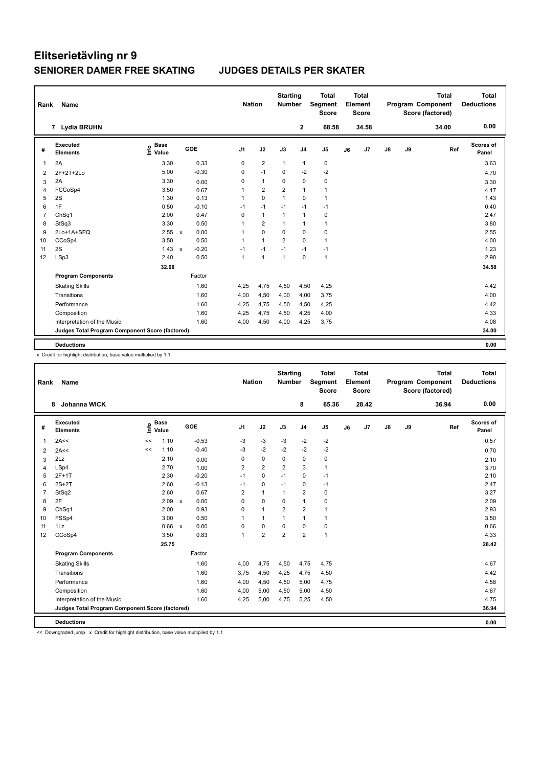| Rank           | Name                                            |                                  |              |         |                | <b>Nation</b>  | <b>Starting</b><br><b>Number</b> |                | <b>Total</b><br>Segment<br><b>Score</b> |    | Total<br>Element<br><b>Score</b> |               |    | <b>Total</b><br>Program Component<br>Score (factored) | Total<br><b>Deductions</b> |
|----------------|-------------------------------------------------|----------------------------------|--------------|---------|----------------|----------------|----------------------------------|----------------|-----------------------------------------|----|----------------------------------|---------------|----|-------------------------------------------------------|----------------------------|
|                | 7 Lydia BRUHN                                   |                                  |              |         |                |                |                                  | $\mathbf{2}$   | 68.58                                   |    | 34.58                            |               |    | 34.00                                                 | 0.00                       |
| #              | Executed<br><b>Elements</b>                     | <b>Base</b><br>e Base<br>E Value |              | GOE     | J <sub>1</sub> | J2             | J3                               | J <sub>4</sub> | J <sub>5</sub>                          | J6 | J <sub>7</sub>                   | $\mathsf{J}8$ | J9 | Ref                                                   | Scores of<br>Panel         |
| 1              | 2A                                              | 3.30                             |              | 0.33    | 0              | $\overline{2}$ | $\mathbf{1}$                     | 1              | 0                                       |    |                                  |               |    |                                                       | 3.63                       |
| $\overline{2}$ | 2F+2T+2Lo                                       | 5.00                             |              | $-0.30$ | 0              | $-1$           | $\Omega$                         | $-2$           | $-2$                                    |    |                                  |               |    |                                                       | 4.70                       |
| 3              | 2A                                              | 3.30                             |              | 0.00    | 0              | $\mathbf{1}$   | $\Omega$                         | $\Omega$       | 0                                       |    |                                  |               |    |                                                       | 3.30                       |
| $\overline{4}$ | FCCoSp4                                         | 3.50                             |              | 0.67    | 1              | $\overline{2}$ | $\overline{2}$                   | $\mathbf{1}$   | $\mathbf{1}$                            |    |                                  |               |    |                                                       | 4.17                       |
| 5              | 2S                                              | 1.30                             |              | 0.13    | $\mathbf{1}$   | $\Omega$       | $\mathbf{1}$                     | $\Omega$       | $\mathbf{1}$                            |    |                                  |               |    |                                                       | 1.43                       |
| 6              | 1F                                              | 0.50                             |              | $-0.10$ | $-1$           | $-1$           | $-1$                             | $-1$           | $-1$                                    |    |                                  |               |    |                                                       | 0.40                       |
| $\overline{7}$ | ChSq1                                           | 2.00                             |              | 0.47    | 0              | $\mathbf{1}$   | $\mathbf{1}$                     | $\mathbf{1}$   | 0                                       |    |                                  |               |    |                                                       | 2.47                       |
| 8              | StSq3                                           | 3.30                             |              | 0.50    | 1              | $\overline{2}$ | $\mathbf{1}$                     | $\mathbf{1}$   | 1                                       |    |                                  |               |    |                                                       | 3.80                       |
| 9              | 2Lo+1A+SEQ                                      | 2.55                             | $\mathsf{x}$ | 0.00    | 1              | $\mathbf 0$    | $\Omega$                         | $\Omega$       | 0                                       |    |                                  |               |    |                                                       | 2.55                       |
| 10             | CCoSp4                                          | 3.50                             |              | 0.50    | 1              | $\mathbf{1}$   | $\overline{2}$                   | $\mathbf 0$    | $\mathbf{1}$                            |    |                                  |               |    |                                                       | 4.00                       |
| 11             | 2S                                              | 1.43                             | $\mathsf{x}$ | $-0.20$ | $-1$           | $-1$           | $-1$                             | $-1$           | $-1$                                    |    |                                  |               |    |                                                       | 1.23                       |
| 12             | LSp3                                            | 2.40                             |              | 0.50    | 1              | $\overline{1}$ | $\mathbf{1}$                     | $\Omega$       | $\mathbf{1}$                            |    |                                  |               |    |                                                       | 2.90                       |
|                |                                                 | 32.08                            |              |         |                |                |                                  |                |                                         |    |                                  |               |    |                                                       | 34.58                      |
|                | <b>Program Components</b>                       |                                  |              | Factor  |                |                |                                  |                |                                         |    |                                  |               |    |                                                       |                            |
|                | <b>Skating Skills</b>                           |                                  |              | 1.60    | 4,25           | 4,75           | 4,50                             | 4,50           | 4,25                                    |    |                                  |               |    |                                                       | 4.42                       |
|                | Transitions                                     |                                  |              | 1.60    | 4,00           | 4,50           | 4,00                             | 4,00           | 3,75                                    |    |                                  |               |    |                                                       | 4.00                       |
|                | Performance                                     |                                  |              | 1.60    | 4,25           | 4,75           | 4,50                             | 4,50           | 4,25                                    |    |                                  |               |    |                                                       | 4.42                       |
|                | Composition                                     |                                  |              | 1.60    | 4,25           | 4,75           | 4,50                             | 4,25           | 4,00                                    |    |                                  |               |    |                                                       | 4.33                       |
|                | Interpretation of the Music                     |                                  |              | 1.60    | 4,00           | 4,50           | 4,00                             | 4,25           | 3,75                                    |    |                                  |               |    |                                                       | 4.08                       |
|                | Judges Total Program Component Score (factored) |                                  |              |         |                |                |                                  |                |                                         |    |                                  |               |    |                                                       | 34.00                      |
|                | <b>Deductions</b>                               |                                  |              |         |                |                |                                  |                |                                         |    |                                  |               |    |                                                       | 0.00                       |
|                |                                                 |                                  |              |         |                |                |                                  |                |                                         |    |                                  |               |    |                                                       |                            |

x Credit for highlight distribution, base value multiplied by 1.1

| Rank           | Name                                            |                            |                           |         | <b>Nation</b>  |                | <b>Starting</b><br><b>Number</b> |                | <b>Total</b><br><b>Segment</b><br><b>Score</b> |    | Total<br>Element<br><b>Score</b> |    |    | <b>Total</b><br>Program Component<br>Score (factored) | <b>Total</b><br><b>Deductions</b> |
|----------------|-------------------------------------------------|----------------------------|---------------------------|---------|----------------|----------------|----------------------------------|----------------|------------------------------------------------|----|----------------------------------|----|----|-------------------------------------------------------|-----------------------------------|
|                | <b>Johanna WICK</b><br>8                        |                            |                           |         |                |                |                                  | 8              | 65.36                                          |    | 28.42                            |    |    | 36.94                                                 | 0.00                              |
| #              | Executed<br><b>Elements</b>                     | <b>Base</b><br>۴٥<br>Value |                           | GOE     | J <sub>1</sub> | J2             | J3                               | J <sub>4</sub> | J <sub>5</sub>                                 | J6 | J7                               | J8 | J9 | Ref                                                   | Scores of<br>Panel                |
| 1              | 2A<<                                            | 1.10<br><<                 |                           | $-0.53$ | $-3$           | $-3$           | $-3$                             | $-2$           | -2                                             |    |                                  |    |    |                                                       | 0.57                              |
| $\overline{2}$ | 2A<<                                            | 1.10<br><<                 |                           | $-0.40$ | $-3$           | $-2$           | $-2$                             | $-2$           | $-2$                                           |    |                                  |    |    |                                                       | 0.70                              |
| 3              | 2Lz                                             | 2.10                       |                           | 0.00    | 0              | $\pmb{0}$      | 0                                | 0              | 0                                              |    |                                  |    |    |                                                       | 2.10                              |
| 4              | LSp4                                            | 2.70                       |                           | 1.00    | $\overline{2}$ | $\overline{2}$ | $\overline{2}$                   | 3              | $\mathbf{1}$                                   |    |                                  |    |    |                                                       | 3.70                              |
| 5              | $2F+1T$                                         | 2.30                       |                           | $-0.20$ | $-1$           | $\mathbf 0$    | $-1$                             | $\mathbf 0$    | $-1$                                           |    |                                  |    |    |                                                       | 2.10                              |
| 6              | $2S+2T$                                         | 2.60                       |                           | $-0.13$ | $-1$           | $\mathbf 0$    | $-1$                             | $\mathbf 0$    | $-1$                                           |    |                                  |    |    |                                                       | 2.47                              |
| $\overline{7}$ | StSq2                                           | 2.60                       |                           | 0.67    | $\overline{2}$ | $\mathbf{1}$   | $\mathbf{1}$                     | $\overline{2}$ | $\pmb{0}$                                      |    |                                  |    |    |                                                       | 3.27                              |
| 8              | 2F                                              | 2.09                       | $\boldsymbol{\mathsf{x}}$ | 0.00    | 0              | $\mathbf 0$    | 0                                | $\overline{1}$ | 0                                              |    |                                  |    |    |                                                       | 2.09                              |
| 9              | ChSq1                                           | 2.00                       |                           | 0.93    | 0              | $\mathbf{1}$   | $\overline{2}$                   | $\overline{2}$ | $\overline{1}$                                 |    |                                  |    |    |                                                       | 2.93                              |
| 10             | FSSp4                                           | 3.00                       |                           | 0.50    | 1              | $\mathbf{1}$   | 1                                | $\overline{1}$ | $\mathbf{1}$                                   |    |                                  |    |    |                                                       | 3.50                              |
| 11             | 1Lz                                             | 0.66                       | $\mathsf{x}$              | 0.00    | 0              | $\mathbf 0$    | 0                                | $\mathbf 0$    | $\pmb{0}$                                      |    |                                  |    |    |                                                       | 0.66                              |
| 12             | CCoSp4                                          | 3.50                       |                           | 0.83    | 1              | $\overline{2}$ | $\overline{2}$                   | $\overline{2}$ | $\mathbf{1}$                                   |    |                                  |    |    |                                                       | 4.33                              |
|                |                                                 | 25.75                      |                           |         |                |                |                                  |                |                                                |    |                                  |    |    |                                                       | 28.42                             |
|                | <b>Program Components</b>                       |                            |                           | Factor  |                |                |                                  |                |                                                |    |                                  |    |    |                                                       |                                   |
|                | <b>Skating Skills</b>                           |                            |                           | 1.60    | 4,00           | 4,75           | 4,50                             | 4,75           | 4,75                                           |    |                                  |    |    |                                                       | 4.67                              |
|                | Transitions                                     |                            |                           | 1.60    | 3,75           | 4,50           | 4,25                             | 4,75           | 4,50                                           |    |                                  |    |    |                                                       | 4.42                              |
|                | Performance                                     |                            |                           | 1.60    | 4,00           | 4,50           | 4,50                             | 5,00           | 4,75                                           |    |                                  |    |    |                                                       | 4.58                              |
|                | Composition                                     |                            |                           | 1.60    | 4,00           | 5,00           | 4,50                             | 5,00           | 4,50                                           |    |                                  |    |    |                                                       | 4.67                              |
|                | Interpretation of the Music                     |                            |                           | 1.60    | 4,25           | 5,00           | 4,75                             | 5,25           | 4,50                                           |    |                                  |    |    |                                                       | 4.75                              |
|                | Judges Total Program Component Score (factored) |                            |                           |         |                |                |                                  |                |                                                |    |                                  |    |    |                                                       | 36.94                             |
|                | <b>Deductions</b>                               |                            |                           |         |                |                |                                  |                |                                                |    |                                  |    |    |                                                       | 0.00                              |

<< Downgraded jump x Credit for highlight distribution, base value multiplied by 1.1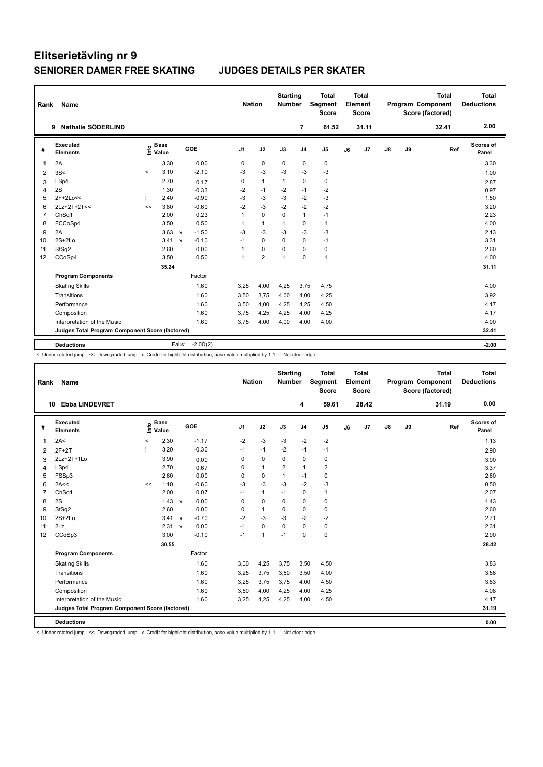| Rank           | Name                                            |          |                                  |                           |            | <b>Nation</b>  |                | <b>Starting</b><br><b>Number</b> |                | <b>Total</b><br>Segment<br><b>Score</b> |    | <b>Total</b><br>Element<br><b>Score</b> |               |    | <b>Total</b><br>Program Component<br>Score (factored) | <b>Total</b><br><b>Deductions</b> |
|----------------|-------------------------------------------------|----------|----------------------------------|---------------------------|------------|----------------|----------------|----------------------------------|----------------|-----------------------------------------|----|-----------------------------------------|---------------|----|-------------------------------------------------------|-----------------------------------|
|                | Nathalie SÖDERLIND<br>9                         |          |                                  |                           |            |                |                |                                  | $\overline{7}$ | 61.52                                   |    | 31.11                                   |               |    | 32.41                                                 | 2.00                              |
| #              | <b>Executed</b><br><b>Elements</b>              |          | <b>Base</b><br>e Base<br>⊆ Value |                           | GOE        | J <sub>1</sub> | J2             | J3                               | J <sub>4</sub> | J <sub>5</sub>                          | J6 | J7                                      | $\mathsf{J}8$ | J9 | Ref                                                   | <b>Scores of</b><br>Panel         |
| $\mathbf{1}$   | 2A                                              |          | 3.30                             |                           | 0.00       | 0              | $\pmb{0}$      | 0                                | 0              | 0                                       |    |                                         |               |    |                                                       | 3.30                              |
| 2              | 3S<                                             | $\hat{}$ | 3.10                             |                           | $-2.10$    | -3             | $-3$           | $-3$                             | $-3$           | $-3$                                    |    |                                         |               |    |                                                       | 1.00                              |
| 3              | LSp4                                            |          | 2.70                             |                           | 0.17       | 0              | $\mathbf{1}$   | $\mathbf{1}$                     | $\mathbf 0$    | $\mathbf 0$                             |    |                                         |               |    |                                                       | 2.87                              |
| $\overline{4}$ | 2S                                              |          | 1.30                             |                           | $-0.33$    | $-2$           | $-1$           | $-2$                             | $-1$           | $-2$                                    |    |                                         |               |    |                                                       | 0.97                              |
| 5              | 2F+2Lo<<                                        |          | 2.40                             |                           | $-0.90$    | $-3$           | $-3$           | $-3$                             | $-2$           | $-3$                                    |    |                                         |               |    |                                                       | 1.50                              |
| 6              | 2Lz+2T+2T<<                                     | <<       | 3.80                             |                           | $-0.60$    | $-2$           | $-3$           | $-2$                             | $-2$           | $-2$                                    |    |                                         |               |    |                                                       | 3.20                              |
| $\overline{7}$ | ChSq1                                           |          | 2.00                             |                           | 0.23       |                | $\mathbf 0$    | 0                                | $\mathbf{1}$   | $-1$                                    |    |                                         |               |    |                                                       | 2.23                              |
| 8              | FCCoSp4                                         |          | 3.50                             |                           | 0.50       | 1              | $\mathbf{1}$   | $\mathbf{1}$                     | $\mathbf 0$    | 1                                       |    |                                         |               |    |                                                       | 4.00                              |
| 9              | 2A                                              |          | 3.63                             | $\mathsf{x}$              | $-1.50$    | $-3$           | $-3$           | $-3$                             | $-3$           | $-3$                                    |    |                                         |               |    |                                                       | 2.13                              |
| 10             | $2S+2Lo$                                        |          | 3.41                             | $\boldsymbol{\mathsf{x}}$ | $-0.10$    | $-1$           | $\mathbf 0$    | $\mathbf 0$                      | $\mathbf 0$    | $-1$                                    |    |                                         |               |    |                                                       | 3.31                              |
| 11             | StSq2                                           |          | 2.60                             |                           | 0.00       |                | $\pmb{0}$      | $\Omega$                         | $\pmb{0}$      | 0                                       |    |                                         |               |    |                                                       | 2.60                              |
| 12             | CCoSp4                                          |          | 3.50                             |                           | 0.50       |                | $\overline{2}$ | $\mathbf{1}$                     | $\mathbf 0$    | $\mathbf{1}$                            |    |                                         |               |    |                                                       | 4.00                              |
|                |                                                 |          | 35.24                            |                           |            |                |                |                                  |                |                                         |    |                                         |               |    |                                                       | 31.11                             |
|                | <b>Program Components</b>                       |          |                                  |                           | Factor     |                |                |                                  |                |                                         |    |                                         |               |    |                                                       |                                   |
|                | <b>Skating Skills</b>                           |          |                                  |                           | 1.60       | 3,25           | 4,00           | 4,25                             | 3,75           | 4,75                                    |    |                                         |               |    |                                                       | 4.00                              |
|                | Transitions                                     |          |                                  |                           | 1.60       | 3,50           | 3,75           | 4,00                             | 4,00           | 4,25                                    |    |                                         |               |    |                                                       | 3.92                              |
|                | Performance                                     |          |                                  |                           | 1.60       | 3,50           | 4,00           | 4,25                             | 4,25           | 4,50                                    |    |                                         |               |    |                                                       | 4.17                              |
|                | Composition                                     |          |                                  |                           | 1.60       | 3,75           | 4,25           | 4,25                             | 4,00           | 4,25                                    |    |                                         |               |    |                                                       | 4.17                              |
|                | Interpretation of the Music                     |          |                                  |                           | 1.60       | 3,75           | 4,00           | 4,00                             | 4,00           | 4,00                                    |    |                                         |               |    |                                                       | 4.00                              |
|                | Judges Total Program Component Score (factored) |          |                                  |                           |            |                |                |                                  |                |                                         |    |                                         |               |    |                                                       | 32.41                             |
|                |                                                 |          |                                  |                           |            |                |                |                                  |                |                                         |    |                                         |               |    |                                                       |                                   |
|                | <b>Deductions</b>                               |          |                                  | Falls:                    | $-2.00(2)$ |                |                |                                  |                |                                         |    |                                         |               |    |                                                       | $-2.00$                           |

< Under-rotated jump << Downgraded jump x Credit for highlight distribution, base value multiplied by 1.1 ! Not clear edge

| Rank           | Name                                            |       |                      |                                   | <b>Nation</b>  |                | <b>Starting</b><br>Number |                | <b>Total</b><br>Segment<br><b>Score</b> |    | <b>Total</b><br>Element<br><b>Score</b> |    |    | <b>Total</b><br><b>Program Component</b><br>Score (factored) | <b>Total</b><br><b>Deductions</b> |
|----------------|-------------------------------------------------|-------|----------------------|-----------------------------------|----------------|----------------|---------------------------|----------------|-----------------------------------------|----|-----------------------------------------|----|----|--------------------------------------------------------------|-----------------------------------|
|                | <b>Ebba LINDEVRET</b><br>10                     |       |                      |                                   |                |                |                           | 4              | 59.61                                   |    | 28.42                                   |    |    | 31.19                                                        | 0.00                              |
| #              | Executed<br><b>Elements</b>                     | ۴o    | <b>Base</b><br>Value | GOE                               | J <sub>1</sub> | J2             | J3                        | J <sub>4</sub> | J <sub>5</sub>                          | J6 | J7                                      | J8 | J9 | Ref                                                          | <b>Scores of</b><br>Panel         |
| 1              | 2A<                                             | $\,<$ | 2.30                 | $-1.17$                           | $-2$           | $-3$           | $-3$                      | $-2$           | $-2$                                    |    |                                         |    |    |                                                              | 1.13                              |
| 2              | $2F+2T$                                         |       | 3.20                 | $-0.30$                           | $-1$           | $-1$           | $-2$                      | $-1$           | $-1$                                    |    |                                         |    |    |                                                              | 2.90                              |
| 3              | 2Lz+2T+1Lo                                      |       | 3.90                 | 0.00                              | 0              | 0              | 0                         | $\mathbf 0$    | 0                                       |    |                                         |    |    |                                                              | 3.90                              |
| $\overline{4}$ | LSp4                                            |       | 2.70                 | 0.67                              | 0              | $\overline{1}$ | $\overline{2}$            | $\mathbf{1}$   | $\overline{2}$                          |    |                                         |    |    |                                                              | 3.37                              |
| 5              | FSSp3                                           |       | 2.60                 | 0.00                              | 0              | 0              | $\mathbf{1}$              | -1             | 0                                       |    |                                         |    |    |                                                              | 2.60                              |
| 6              | 2A<<                                            | <<    | 1.10                 | $-0.60$                           | $-3$           | $-3$           | $-3$                      | $-2$           | $-3$                                    |    |                                         |    |    |                                                              | 0.50                              |
| 7              | ChSq1                                           |       | 2.00                 | 0.07                              | $-1$           | $\mathbf{1}$   | $-1$                      | 0              | $\mathbf{1}$                            |    |                                         |    |    |                                                              | 2.07                              |
| 8              | 2S                                              |       | 1.43                 | 0.00<br>$\mathsf{x}$              | 0              | $\mathbf 0$    | 0                         | $\mathbf 0$    | $\pmb{0}$                               |    |                                         |    |    |                                                              | 1.43                              |
| 9              | StSq2                                           |       | 2.60                 | 0.00                              | 0              | $\overline{1}$ | 0                         | $\pmb{0}$      | $\pmb{0}$                               |    |                                         |    |    |                                                              | 2.60                              |
| 10             | $2S+2Lo$                                        |       | 3.41                 | $-0.70$<br>$\mathsf{x}$           | $-2$           | $-3$           | $-3$                      | $-2$           | $-2$                                    |    |                                         |    |    |                                                              | 2.71                              |
| 11             | 2Lz                                             |       | 2.31                 | 0.00<br>$\boldsymbol{\mathsf{x}}$ | $-1$           | $\mathbf 0$    | $\Omega$                  | $\mathbf 0$    | $\pmb{0}$                               |    |                                         |    |    |                                                              | 2.31                              |
| 12             | CCoSp3                                          |       | 3.00                 | $-0.10$                           | $-1$           | $\overline{1}$ | $-1$                      | $\Omega$       | $\pmb{0}$                               |    |                                         |    |    |                                                              | 2.90                              |
|                |                                                 |       | 30.55                |                                   |                |                |                           |                |                                         |    |                                         |    |    |                                                              | 28.42                             |
|                | <b>Program Components</b>                       |       |                      | Factor                            |                |                |                           |                |                                         |    |                                         |    |    |                                                              |                                   |
|                | <b>Skating Skills</b>                           |       |                      | 1.60                              | 3,00           | 4,25           | 3,75                      | 3,50           | 4,50                                    |    |                                         |    |    |                                                              | 3.83                              |
|                | Transitions                                     |       |                      | 1.60                              | 3,25           | 3,75           | 3,50                      | 3,50           | 4,00                                    |    |                                         |    |    |                                                              | 3.58                              |
|                | Performance                                     |       |                      | 1.60                              | 3,25           | 3,75           | 3,75                      | 4,00           | 4,50                                    |    |                                         |    |    |                                                              | 3.83                              |
|                | Composition                                     |       |                      | 1.60                              | 3,50           | 4,00           | 4,25                      | 4,00           | 4,25                                    |    |                                         |    |    |                                                              | 4.08                              |
|                | Interpretation of the Music                     |       |                      | 1.60                              | 3,25           | 4,25           | 4,25                      | 4,00           | 4,50                                    |    |                                         |    |    |                                                              | 4.17                              |
|                | Judges Total Program Component Score (factored) |       |                      |                                   |                |                |                           |                |                                         |    |                                         |    |    |                                                              | 31.19                             |
|                | <b>Deductions</b>                               |       |                      |                                   |                |                |                           |                |                                         |    |                                         |    |    |                                                              | 0.00                              |

< Under-rotated jump << Downgraded jump x Credit for highlight distribution, base value multiplied by 1.1 ! Not clear edge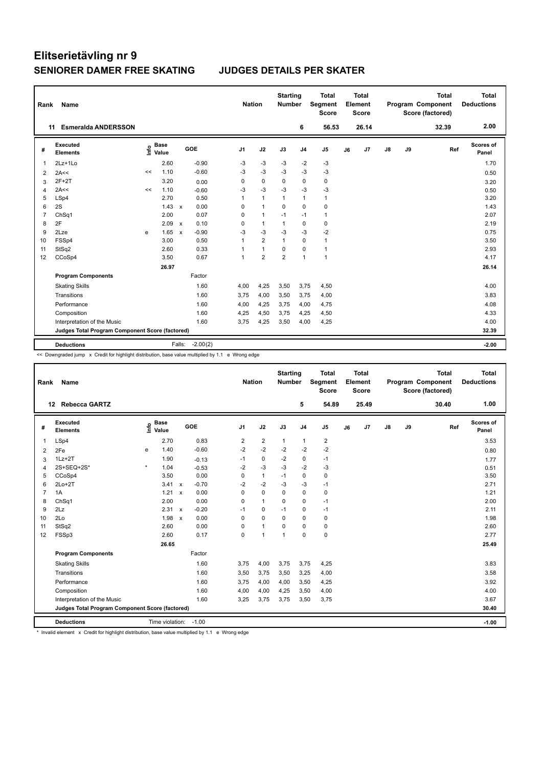| Rank           | Name                                            |      |                      |                           |            |                | <b>Nation</b>  | <b>Starting</b> | <b>Number</b>  | <b>Total</b><br>Segment<br><b>Score</b> |    | Total<br>Element<br><b>Score</b> |               |    | <b>Total</b><br>Program Component<br>Score (factored) | Total<br><b>Deductions</b> |
|----------------|-------------------------------------------------|------|----------------------|---------------------------|------------|----------------|----------------|-----------------|----------------|-----------------------------------------|----|----------------------------------|---------------|----|-------------------------------------------------------|----------------------------|
|                | <b>Esmeralda ANDERSSON</b><br>11                |      |                      |                           |            |                |                |                 | 6              | 56.53                                   |    | 26.14                            |               |    | 32.39                                                 | 2.00                       |
| #              | Executed<br><b>Elements</b>                     | lnfo | <b>Base</b><br>Value |                           | GOE        | J <sub>1</sub> | J2             | J3              | J <sub>4</sub> | J <sub>5</sub>                          | J6 | J7                               | $\mathsf{J}8$ | J9 | Ref                                                   | <b>Scores of</b><br>Panel  |
| 1              | $2Lz+1Lo$                                       |      | 2.60                 |                           | $-0.90$    | -3             | $-3$           | -3              | $-2$           | $-3$                                    |    |                                  |               |    |                                                       | 1.70                       |
| 2              | 2A<<                                            | <<   | 1.10                 |                           | $-0.60$    | $-3$           | $-3$           | -3              | -3             | $-3$                                    |    |                                  |               |    |                                                       | 0.50                       |
| 3              | $2F+2T$                                         |      | 3.20                 |                           | 0.00       | 0              | $\mathbf 0$    | $\Omega$        | $\mathbf 0$    | 0                                       |    |                                  |               |    |                                                       | 3.20                       |
| 4              | 2A<<                                            | <<   | 1.10                 |                           | $-0.60$    | $-3$           | $-3$           | $-3$            | $-3$           | $-3$                                    |    |                                  |               |    |                                                       | 0.50                       |
| 5              | LSp4                                            |      | 2.70                 |                           | 0.50       | 1              | $\overline{1}$ | $\mathbf 1$     | $\mathbf{1}$   | $\mathbf{1}$                            |    |                                  |               |    |                                                       | 3.20                       |
| 6              | 2S                                              |      | 1.43                 | $\mathsf{x}$              | 0.00       | 0              | $\overline{1}$ | 0               | $\mathbf 0$    | 0                                       |    |                                  |               |    |                                                       | 1.43                       |
| $\overline{7}$ | ChSq1                                           |      | 2.00                 |                           | 0.07       | 0              | $\mathbf{1}$   | $-1$            | $-1$           | $\mathbf{1}$                            |    |                                  |               |    |                                                       | 2.07                       |
| 8              | 2F                                              |      | 2.09                 | $\mathbf{x}$              | 0.10       | 0              | $\overline{1}$ | $\mathbf{1}$    | $\mathbf 0$    | $\mathbf 0$                             |    |                                  |               |    |                                                       | 2.19                       |
| 9              | 2Lze                                            | e    | 1.65                 | $\boldsymbol{\mathsf{x}}$ | $-0.90$    | $-3$           | $-3$           | $-3$            | $-3$           | $-2$                                    |    |                                  |               |    |                                                       | 0.75                       |
| 10             | FSSp4                                           |      | 3.00                 |                           | 0.50       | 1              | $\overline{2}$ | $\mathbf{1}$    | $\mathbf 0$    | $\mathbf{1}$                            |    |                                  |               |    |                                                       | 3.50                       |
| 11             | StSq2                                           |      | 2.60                 |                           | 0.33       | 1              | $\mathbf{1}$   | $\Omega$        | $\mathbf 0$    | $\mathbf{1}$                            |    |                                  |               |    |                                                       | 2.93                       |
| 12             | CCoSp4                                          |      | 3.50                 |                           | 0.67       | 1              | $\overline{2}$ | $\overline{2}$  | $\mathbf{1}$   | $\mathbf{1}$                            |    |                                  |               |    |                                                       | 4.17                       |
|                |                                                 |      | 26.97                |                           |            |                |                |                 |                |                                         |    |                                  |               |    |                                                       | 26.14                      |
|                | <b>Program Components</b>                       |      |                      |                           | Factor     |                |                |                 |                |                                         |    |                                  |               |    |                                                       |                            |
|                | <b>Skating Skills</b>                           |      |                      |                           | 1.60       | 4,00           | 4,25           | 3,50            | 3,75           | 4,50                                    |    |                                  |               |    |                                                       | 4.00                       |
|                | Transitions                                     |      |                      |                           | 1.60       | 3.75           | 4,00           | 3,50            | 3,75           | 4,00                                    |    |                                  |               |    |                                                       | 3.83                       |
|                | Performance                                     |      |                      |                           | 1.60       | 4,00           | 4,25           | 3,75            | 4,00           | 4,75                                    |    |                                  |               |    |                                                       | 4.08                       |
|                | Composition                                     |      |                      |                           | 1.60       | 4,25           | 4,50           | 3,75            | 4,25           | 4,50                                    |    |                                  |               |    |                                                       | 4.33                       |
|                | Interpretation of the Music                     |      |                      |                           | 1.60       | 3,75           | 4,25           | 3,50            | 4,00           | 4,25                                    |    |                                  |               |    |                                                       | 4.00                       |
|                | Judges Total Program Component Score (factored) |      |                      |                           |            |                |                |                 |                |                                         |    |                                  |               |    |                                                       | 32.39                      |
|                |                                                 |      |                      |                           |            |                |                |                 |                |                                         |    |                                  |               |    |                                                       |                            |
|                | <b>Deductions</b>                               |      |                      | Falls:                    | $-2.00(2)$ |                |                |                 |                |                                         |    |                                  |               |    |                                                       | $-2.00$                    |

<< Downgraded jump x Credit for highlight distribution, base value multiplied by 1.1 e Wrong edge

| Rank           | <b>Name</b>                                     |         |                                   |                           |         | <b>Nation</b>  |                | <b>Starting</b><br><b>Number</b> |                | <b>Total</b><br>Segment<br><b>Score</b> |    | <b>Total</b><br>Element<br><b>Score</b> |    |    | <b>Total</b><br>Program Component<br>Score (factored) | <b>Total</b><br><b>Deductions</b> |
|----------------|-------------------------------------------------|---------|-----------------------------------|---------------------------|---------|----------------|----------------|----------------------------------|----------------|-----------------------------------------|----|-----------------------------------------|----|----|-------------------------------------------------------|-----------------------------------|
|                | <b>Rebecca GARTZ</b><br>12                      |         |                                   |                           |         |                |                |                                  | 5              | 54.89                                   |    | 25.49                                   |    |    | 30.40                                                 | 1.00                              |
| #              | <b>Executed</b><br><b>Elements</b>              |         | <b>Base</b><br>$\frac{e}{2}$ Base | GOE                       |         | J <sub>1</sub> | J2             | J3                               | J <sub>4</sub> | J <sub>5</sub>                          | J6 | J7                                      | J8 | J9 | Ref                                                   | <b>Scores of</b><br>Panel         |
| $\mathbf{1}$   | LSp4                                            |         | 2.70                              |                           | 0.83    | 2              | $\overline{2}$ | $\mathbf{1}$                     | $\mathbf{1}$   | 2                                       |    |                                         |    |    |                                                       | 3.53                              |
| 2              | 2Fe                                             | e       | 1.40                              |                           | $-0.60$ | $-2$           | $-2$           | $-2$                             | $-2$           | $-2$                                    |    |                                         |    |    |                                                       | 0.80                              |
| 3              | $1Lz + 2T$                                      |         | 1.90                              |                           | $-0.13$ | $-1$           | $\pmb{0}$      | $-2$                             | 0              | $-1$                                    |    |                                         |    |    |                                                       | 1.77                              |
| 4              | 2S+SEQ+2S*                                      | $\star$ | 1.04                              |                           | $-0.53$ | $-2$           | -3             | -3                               | $-2$           | -3                                      |    |                                         |    |    |                                                       | 0.51                              |
| 5              | CCoSp4                                          |         | 3.50                              |                           | 0.00    | 0              | $\mathbf{1}$   | $-1$                             | $\mathbf 0$    | 0                                       |    |                                         |    |    |                                                       | 3.50                              |
| 6              | $2Lo+2T$                                        |         | 3.41                              | $\mathsf{x}$              | $-0.70$ | $-2$           | $-2$           | $-3$                             | $-3$           | $-1$                                    |    |                                         |    |    |                                                       | 2.71                              |
| $\overline{7}$ | 1A                                              |         | 1.21                              | $\boldsymbol{\mathsf{x}}$ | 0.00    | 0              | $\mathbf 0$    | 0                                | $\mathbf 0$    | 0                                       |    |                                         |    |    |                                                       | 1.21                              |
| 8              | Ch <sub>Sq1</sub>                               |         | 2.00                              |                           | 0.00    | 0              | $\mathbf{1}$   | 0                                | $\mathbf 0$    | $-1$                                    |    |                                         |    |    |                                                       | 2.00                              |
| 9              | 2Lz                                             |         | 2.31                              | $\mathbf{x}$              | $-0.20$ | $-1$           | 0              | $-1$                             | 0              | $-1$                                    |    |                                         |    |    |                                                       | 2.11                              |
| 10             | 2Lo                                             |         | 1.98                              | $\boldsymbol{\mathsf{x}}$ | 0.00    | $\mathbf 0$    | $\mathbf 0$    | $\mathbf 0$                      | $\mathbf 0$    | $\pmb{0}$                               |    |                                         |    |    |                                                       | 1.98                              |
| 11             | StSq2                                           |         | 2.60                              |                           | 0.00    | $\mathbf 0$    | $\mathbf{1}$   | $\mathbf 0$                      | $\mathbf 0$    | $\mathbf 0$                             |    |                                         |    |    |                                                       | 2.60                              |
| 12             | FSSp3                                           |         | 2.60                              |                           | 0.17    | $\mathbf 0$    | $\overline{1}$ | 1                                | $\mathbf 0$    | $\mathbf 0$                             |    |                                         |    |    |                                                       | 2.77                              |
|                |                                                 |         | 26.65                             |                           |         |                |                |                                  |                |                                         |    |                                         |    |    |                                                       | 25.49                             |
|                | <b>Program Components</b>                       |         |                                   |                           | Factor  |                |                |                                  |                |                                         |    |                                         |    |    |                                                       |                                   |
|                | <b>Skating Skills</b>                           |         |                                   |                           | 1.60    | 3.75           | 4,00           | 3,75                             | 3,75           | 4,25                                    |    |                                         |    |    |                                                       | 3.83                              |
|                | Transitions                                     |         |                                   |                           | 1.60    | 3,50           | 3,75           | 3,50                             | 3,25           | 4,00                                    |    |                                         |    |    |                                                       | 3.58                              |
|                | Performance                                     |         |                                   |                           | 1.60    | 3,75           | 4,00           | 4,00                             | 3,50           | 4,25                                    |    |                                         |    |    |                                                       | 3.92                              |
|                | Composition                                     |         |                                   |                           | 1.60    | 4,00           | 4,00           | 4,25                             | 3,50           | 4,00                                    |    |                                         |    |    |                                                       | 4.00                              |
|                | Interpretation of the Music                     |         |                                   |                           | 1.60    | 3,25           | 3,75           | 3,75                             | 3,50           | 3,75                                    |    |                                         |    |    |                                                       | 3.67                              |
|                | Judges Total Program Component Score (factored) |         |                                   |                           |         |                |                |                                  |                |                                         |    |                                         |    |    |                                                       | 30.40                             |
|                | <b>Deductions</b>                               |         | Time violation:                   | $-1.00$                   |         |                |                |                                  |                |                                         |    |                                         |    |    |                                                       | $-1.00$                           |

\* Invalid element x Credit for highlight distribution, base value multiplied by 1.1 e Wrong edge